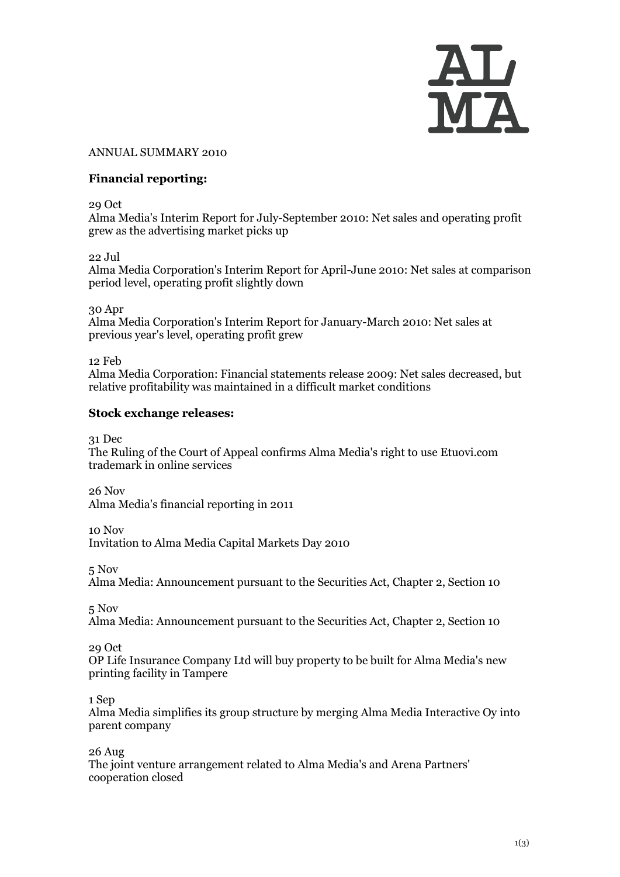

#### ANNUAL SUMMARY 2010

#### **Financial reporting:**

29 Oct

[Alma Media's Interim Report for July-September 2010: Net sales and operating profit](http://www.almamedia.fi/release?release=466381)  [grew as the advertising market picks up](http://www.almamedia.fi/release?release=466381)

22 Jul

[Alma Media Corporation's Interim Report for April-June 2010: Net sales at comparison](http://www.almamedia.fi/release?release=427289)  [period level, operating profit slightly down](http://www.almamedia.fi/release?release=427289)

30 Apr

[Alma Media Corporation's Interim Report for January-March 2010: Net sales at](http://www.almamedia.fi/release?release=393997)  [previous year's level, operating profit grew](http://www.almamedia.fi/release?release=393997)

12 Feb

[Alma Media Corporation: Financial statements release 2009: Net sales decreased, but](http://www.almamedia.fi/release?release=361598)  [relative profitability was maintained in a difficult market conditions](http://www.almamedia.fi/release?release=361598)

#### **Stock exchange releases:**

31 Dec

[The Ruling of the Court of Appeal confirms Alma Media's right to use Etuovi.com](http://www.almamedia.fi/release?release=490097)  [trademark in online services](http://www.almamedia.fi/release?release=490097)

26 Nov [Alma Media's financial reporting in 2011](http://www.almamedia.fi/release?release=477606)

10 Nov

[Invitation to Alma Media Capital Markets Day 2010](http://www.almamedia.fi/release?release=471384)

5 Nov

[Alma Media: Announcement pursuant to the Securities Act, Chapter 2, Section 10](http://www.almamedia.fi/release?release=469488)

5 Nov

[Alma Media: Announcement pursuant to the Securities Act, Chapter 2, Section 10](http://www.almamedia.fi/release?release=469322)

29 Oct

OP [Life Insurance Company Ltd will buy property to be built for Alma Media's new](http://www.almamedia.fi/release?release=466549)  [printing facility in Tampere](http://www.almamedia.fi/release?release=466549)

1 Sep

[Alma Media simplifies its group structure by merging Alma Media Interactive Oy](http://www.almamedia.fi/release?release=443327) into [parent company](http://www.almamedia.fi/release?release=443327)

26 Aug

[The joint venture arrangement related to Alma Media's and Arena Partners'](http://www.almamedia.fi/release?release=441132)  [cooperation closed](http://www.almamedia.fi/release?release=441132)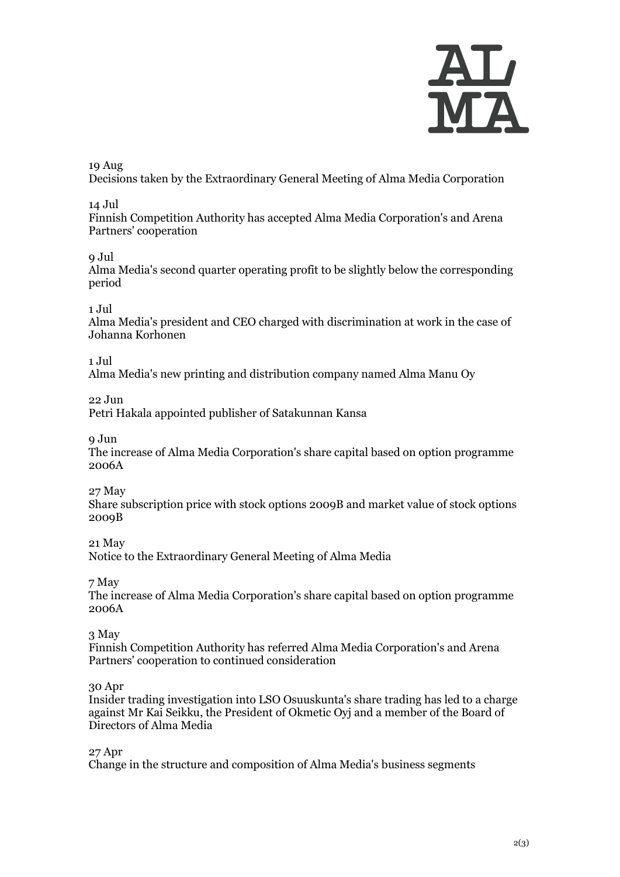

### 19 Aug

[Decisions taken by the Extraordinary General Meeting of Alma Media Corporation](http://www.almamedia.fi/release?release=438512)

### 14 Jul

[Finnish Competition Authority has accepted Alma Media Corporation's and Arena](http://www.almamedia.fi/release?release=424381)  [Partners' cooperation](http://www.almamedia.fi/release?release=424381)

### 9 Jul

[Alma Media's second quarter operating profit to be slightly below the corresponding](http://www.almamedia.fi/release?release=422603)  [period](http://www.almamedia.fi/release?release=422603)

### 1 Jul

[Alma Media's president and CEO charged with discrimination at work in the case of](http://www.almamedia.fi/release?release=419394)  [Johanna Korhonen](http://www.almamedia.fi/release?release=419394)

### 1 Jul

[Alma Media's new printing and distribution company named Alma Manu Oy](http://www.almamedia.fi/release?release=419227)

22 Jun

[Petri Hakala appointed publisher of Satakunnan Kansa](http://www.almamedia.fi/release?release=416052)

9 Jun

[The increase of Alma Media Corporation's share capital based on option programme](http://www.almamedia.fi/release?release=410398) [2006A](http://www.almamedia.fi/release?release=410398)

27 May

[Share subscription price with stock options 2009B and market value of stock options](http://www.almamedia.fi/release?release=405046)  [2009B](http://www.almamedia.fi/release?release=405046)

21 May

[Notice to the Extraordinary General Meeting of Alma Media](http://www.almamedia.fi/release?release=402579)

7 May

[The increase of Alma Media Corporation's share capital based on option programme](http://www.almamedia.fi/release?release=396890)  [2006A](http://www.almamedia.fi/release?release=396890)

### 3 May

[Finnish Competition Authority has referred Alma Media Corporation's and Arena](http://www.almamedia.fi/release?release=395144)  [Partners' cooperation to continued consideration](http://www.almamedia.fi/release?release=395144)

### 30 Apr

[Insider trading investigation into LSO Osuuskunta's share trading has led to a charge](http://www.almamedia.fi/release?release=393999)  [against Mr Kai Seikku, the President of Okmetic Oyj and a member of the Board of](http://www.almamedia.fi/release?release=393999)  [Directors of Alma Media](http://www.almamedia.fi/release?release=393999)

### 27 Apr

[Change in the structure and composition of Alma Media's business segments](http://www.almamedia.fi/release?release=392694)